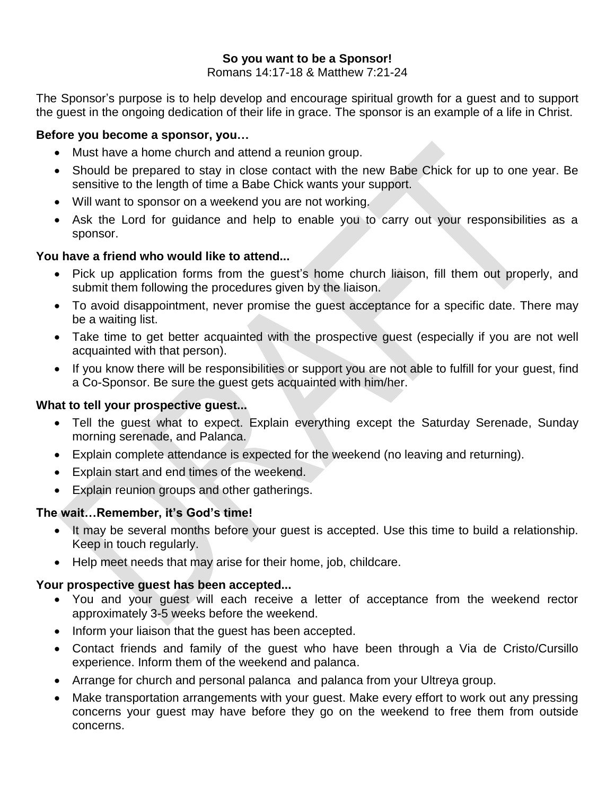# **So you want to be a Sponsor!**

Romans 14:17-18 & Matthew 7:21-24

The Sponsor's purpose is to help develop and encourage spiritual growth for a guest and to support the guest in the ongoing dedication of their life in grace. The sponsor is an example of a life in Christ.

## **Before you become a sponsor, you…**

- Must have a home church and attend a reunion group.
- Should be prepared to stay in close contact with the new Babe Chick for up to one year. Be sensitive to the length of time a Babe Chick wants your support.
- Will want to sponsor on a weekend you are not working.
- Ask the Lord for guidance and help to enable you to carry out your responsibilities as a sponsor.

# **You have a friend who would like to attend...**

- Pick up application forms from the guest's home church liaison, fill them out properly, and submit them following the procedures given by the liaison.
- To avoid disappointment, never promise the guest acceptance for a specific date. There may be a waiting list.
- Take time to get better acquainted with the prospective quest (especially if you are not well acquainted with that person).
- If you know there will be responsibilities or support you are not able to fulfill for your guest, find a Co-Sponsor. Be sure the guest gets acquainted with him/her.

## **What to tell your prospective guest...**

- Tell the guest what to expect. Explain everything except the Saturday Serenade, Sunday morning serenade, and Palanca.
- Explain complete attendance is expected for the weekend (no leaving and returning).
- Explain start and end times of the weekend.
- Explain reunion groups and other gatherings.

## **The wait…Remember, it's God's time!**

- It may be several months before your quest is accepted. Use this time to build a relationship. Keep in touch regularly.
- Help meet needs that may arise for their home, job, childcare.

# **Your prospective guest has been accepted...**

- You and your guest will each receive a letter of acceptance from the weekend rector approximately 3-5 weeks before the weekend.
- Inform your liaison that the guest has been accepted.
- Contact friends and family of the guest who have been through a Via de Cristo/Cursillo experience. Inform them of the weekend and palanca.
- Arrange for church and personal palanca and palanca from your Ultreya group.
- Make transportation arrangements with your guest. Make every effort to work out any pressing concerns your guest may have before they go on the weekend to free them from outside concerns.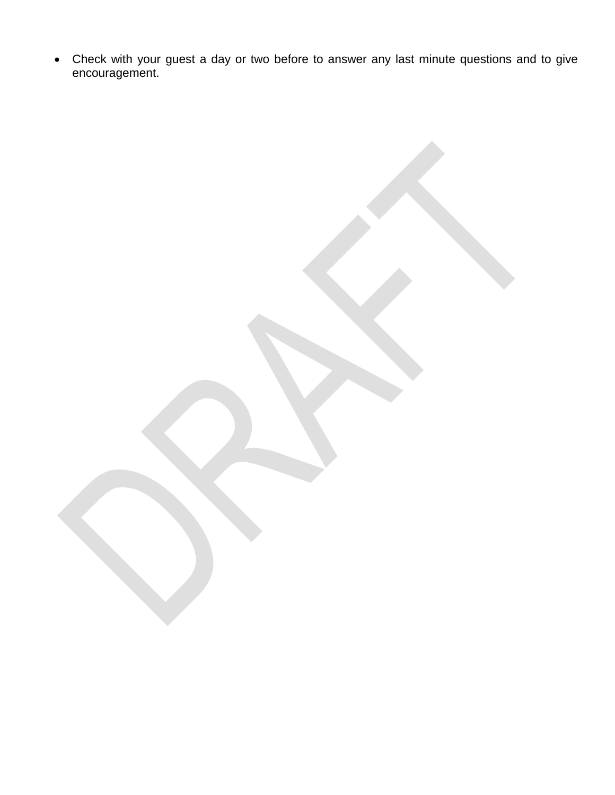Check with your guest a day or two before to answer any last minute questions and to give encouragement.